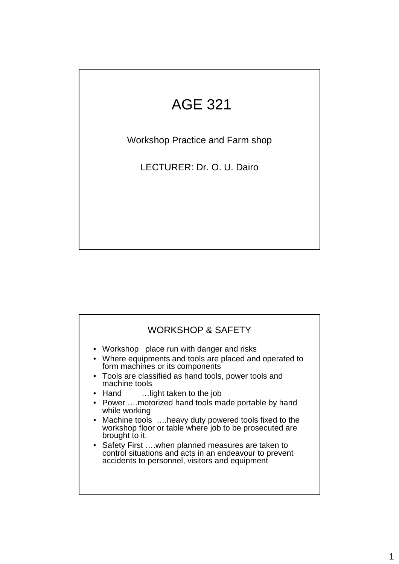# AGE 321

Workshop Practice and Farm shop

LECTURER: Dr. O. U. Dairo

### WORKSHOP & SAFETY • Workshop place run with danger and risks • Where equipments and tools are placed and operated to form machines or its components • Tools are classified as hand tools, power tools and machine tools • Hand ... light taken to the job • Power ....motorized hand tools made portable by hand while working • Machine tools ….heavy duty powered tools fixed to the workshop floor or table where job to be prosecuted are brought to it. • Safety First ….when planned measures are taken to control situations and acts in an endeavour to prevent accidents to personnel, visitors and equipment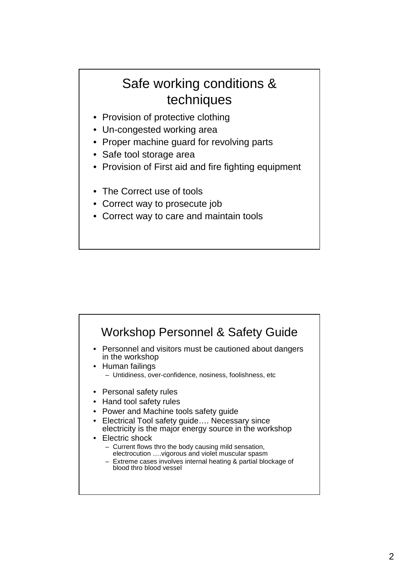## Safe working conditions & techniques

- Provision of protective clothing
- Un-congested working area
- Proper machine guard for revolving parts
- Safe tool storage area
- Provision of First aid and fire fighting equipment
- The Correct use of tools
- Correct way to prosecute job
- Correct way to care and maintain tools

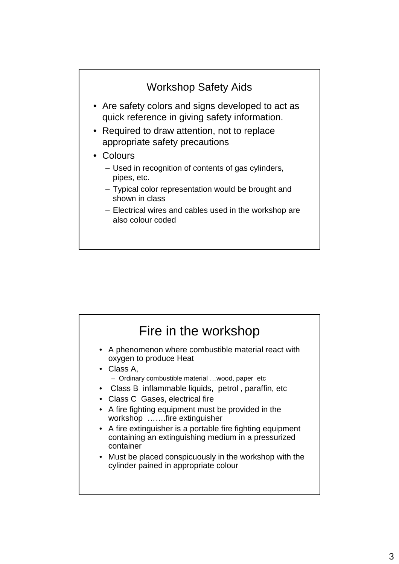

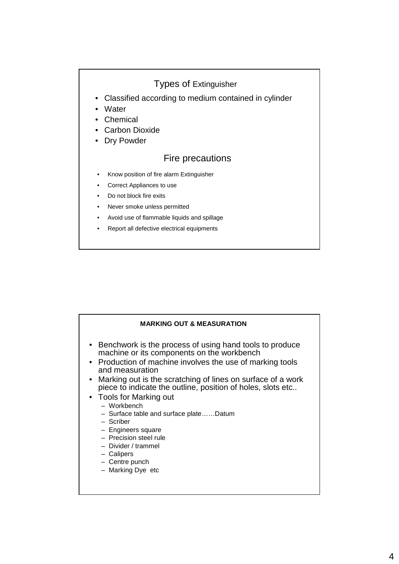### Types of Extinguisher

- Classified according to medium contained in cylinder
- Water
- Chemical
- Carbon Dioxide
- Dry Powder

#### Fire precautions

- Know position of fire alarm Extinguisher
- Correct Appliances to use
- Do not block fire exits
- Never smoke unless permitted
- Avoid use of flammable liquids and spillage
- Report all defective electrical equipments

#### **MARKING OUT & MEASURATION** • Benchwork is the process of using hand tools to produce machine or its components on the workbench • Production of machine involves the use of marking tools and measuration • Marking out is the scratching of lines on surface of a work piece to indicate the outline, position of holes, slots etc.. • Tools for Marking out – Workbench – Surface table and surface plate……Datum – Scriber – Engineers square – Precision steel rule – Divider / trammel – Calipers

- Centre punch
- Marking Dye etc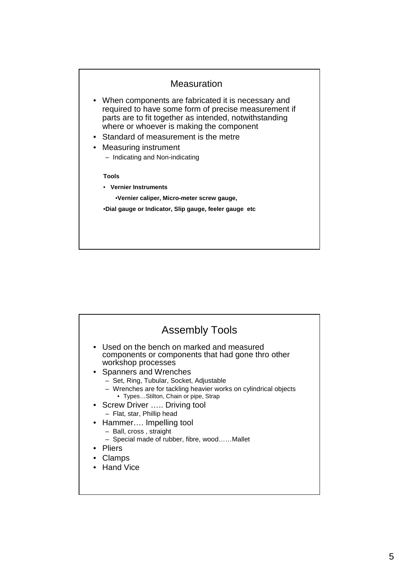

| <b>Assembly Tools</b>                                                                                                                                                                                                                                                                                                                                                                                                                                                                                              |  |
|--------------------------------------------------------------------------------------------------------------------------------------------------------------------------------------------------------------------------------------------------------------------------------------------------------------------------------------------------------------------------------------------------------------------------------------------------------------------------------------------------------------------|--|
| • Used on the bench on marked and measured<br>components or components that had gone thro other<br>workshop processes<br>• Spanners and Wrenches<br>- Set, Ring, Tubular, Socket, Adjustable<br>- Wrenches are for tackling heavier works on cylindrical objects<br>• TypesStilton, Chain or pipe, Strap<br>• Screw Driver  Driving tool<br>- Flat, star, Phillip head<br>• Hammer Impelling tool<br>- Ball, cross, straight<br>- Special made of rubber, fibre, woodMallet<br>• Pliers<br>• Clamps<br>• Hand Vice |  |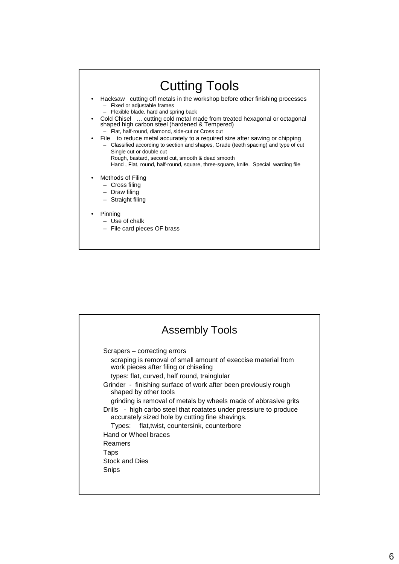

|                       | <b>Assembly Tools</b>                                                                                                                                                                                                                                                                                                                                                                                                       |
|-----------------------|-----------------------------------------------------------------------------------------------------------------------------------------------------------------------------------------------------------------------------------------------------------------------------------------------------------------------------------------------------------------------------------------------------------------------------|
|                       | Scrapers – correcting errors<br>scraping is removal of small amount of execcise material from<br>work pieces after filing or chiseling<br>types: flat, curved, half round, trainglular<br>Grinder - finishing surface of work after been previously rough<br>shaped by other tools<br>grinding is removal of metals by wheels made of abbrasive grits<br>Drills - high carbo steel that roatates under pressiure to produce |
|                       | accurately sized hole by cutting fine shavings.<br>Types: flat, twist, countersink, counterbore                                                                                                                                                                                                                                                                                                                             |
|                       | Hand or Wheel braces                                                                                                                                                                                                                                                                                                                                                                                                        |
| Reamers               |                                                                                                                                                                                                                                                                                                                                                                                                                             |
| Taps                  |                                                                                                                                                                                                                                                                                                                                                                                                                             |
| <b>Stock and Dies</b> |                                                                                                                                                                                                                                                                                                                                                                                                                             |
| Snips                 |                                                                                                                                                                                                                                                                                                                                                                                                                             |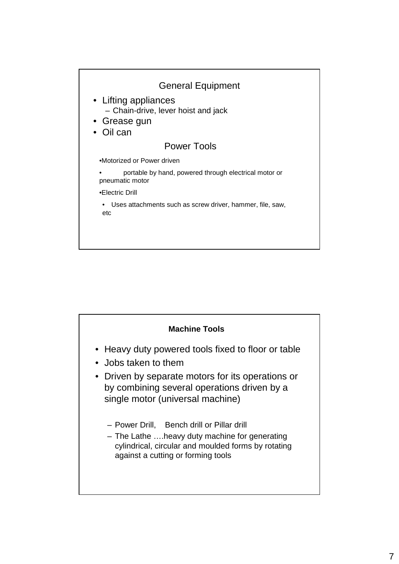

| <b>Machine Tools</b>                                                                                                                                                                                               |
|--------------------------------------------------------------------------------------------------------------------------------------------------------------------------------------------------------------------|
| • Heavy duty powered tools fixed to floor or table<br>• Jobs taken to them<br>• Driven by separate motors for its operations or<br>by combining several operations driven by a<br>single motor (universal machine) |
| - Power Drill, Bench drill or Pillar drill<br>- The Lathe heavy duty machine for generating<br>cylindrical, circular and moulded forms by rotating<br>against a cutting or forming tools                           |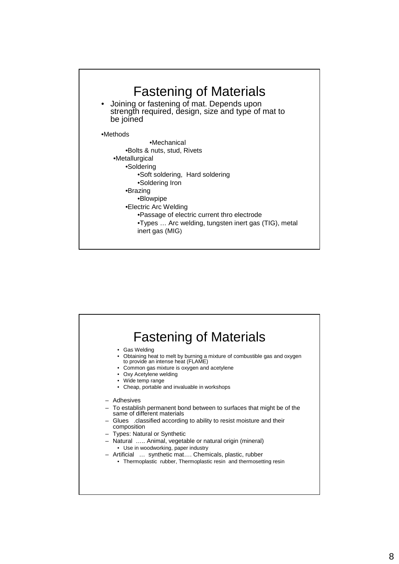

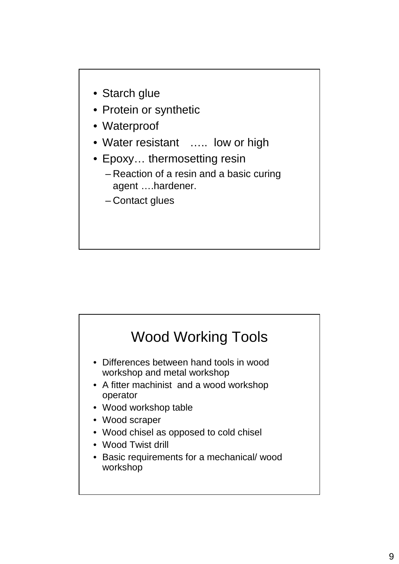

- Protein or synthetic
- Waterproof
- Water resistant ..... low or high
- Epoxy… thermosetting resin
	- Reaction of a resin and a basic curing agent ….hardener.
	- Contact glues